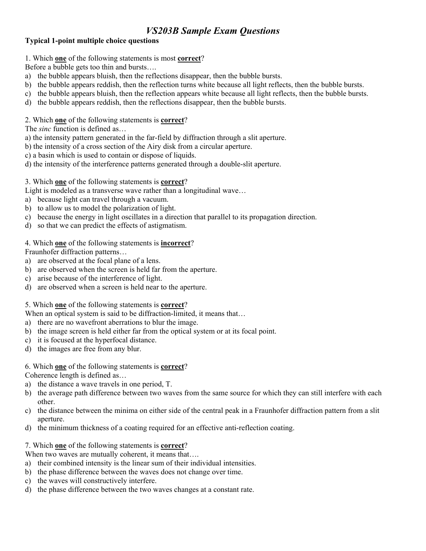## **Typical 1-point multiple choice questions**

1. Which **one** of the following statements is most **correct**?

Before a bubble gets too thin and bursts….

- a) the bubble appears bluish, then the reflections disappear, then the bubble bursts.
- b) the bubble appears reddish, then the reflection turns white because all light reflects, then the bubble bursts.
- c) the bubble appears bluish, then the reflection appears white because all light reflects, then the bubble bursts.
- d) the bubble appears reddish, then the reflections disappear, then the bubble bursts.

#### 2. Which **one** of the following statements is **correct**?

The *sinc* function is defined as…

- a) the intensity pattern generated in the far-field by diffraction through a slit aperture.
- b) the intensity of a cross section of the Airy disk from a circular aperture.
- c) a basin which is used to contain or dispose of liquids.
- d) the intensity of the interference patterns generated through a double-slit aperture.

#### 3. Which **one** of the following statements is **correct**?

Light is modeled as a transverse wave rather than a longitudinal wave…

- a) because light can travel through a vacuum.
- b) to allow us to model the polarization of light.
- c) because the energy in light oscillates in a direction that parallel to its propagation direction.
- d) so that we can predict the effects of astigmatism.

### 4. Which **one** of the following statements is **incorrect**?

Fraunhofer diffraction patterns…

- a) are observed at the focal plane of a lens.
- b) are observed when the screen is held far from the aperture.
- c) arise because of the interference of light.
- d) are observed when a screen is held near to the aperture.

### 5. Which **one** of the following statements is **correct**?

When an optical system is said to be diffraction-limited, it means that...

- a) there are no wavefront aberrations to blur the image.
- b) the image screen is held either far from the optical system or at its focal point.
- c) it is focused at the hyperfocal distance.
- d) the images are free from any blur.

#### 6. Which **one** of the following statements is **correct**?

Coherence length is defined as…

- a) the distance a wave travels in one period, T.
- b) the average path difference between two waves from the same source for which they can still interfere with each other.
- c) the distance between the minima on either side of the central peak in a Fraunhofer diffraction pattern from a slit aperture.
- d) the minimum thickness of a coating required for an effective anti-reflection coating.
- 7. Which **one** of the following statements is **correct**?

When two waves are mutually coherent, it means that....

- a) their combined intensity is the linear sum of their individual intensities.
- b) the phase difference between the waves does not change over time.
- c) the waves will constructively interfere.
- d) the phase difference between the two waves changes at a constant rate.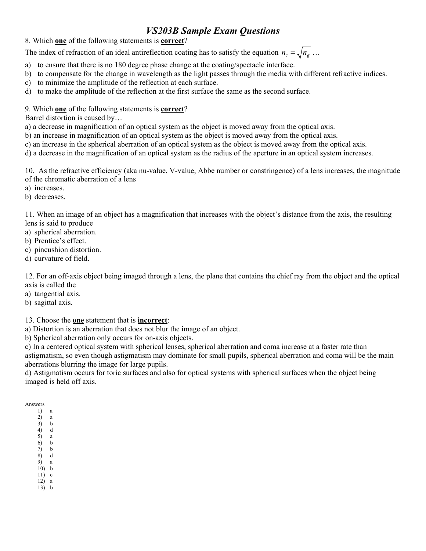8. Which **one** of the following statements is **correct**?

The index of refraction of an ideal antireflection coating has to satisfy the equation  $n_c = \sqrt{n_g}$ ...

- a) to ensure that there is no 180 degree phase change at the coating/spectacle interface.
- b) to compensate for the change in wavelength as the light passes through the media with different refractive indices.
- c) to minimize the amplitude of the reflection at each surface.
- d) to make the amplitude of the reflection at the first surface the same as the second surface.

9. Which **one** of the following statements is **correct**?

Barrel distortion is caused by…

a) a decrease in magnification of an optical system as the object is moved away from the optical axis.

b) an increase in magnification of an optical system as the object is moved away from the optical axis.

c) an increase in the spherical aberration of an optical system as the object is moved away from the optical axis.

d) a decrease in the magnification of an optical system as the radius of the aperture in an optical system increases.

10. As the refractive efficiency (aka nu-value, V-value, Abbe number or constringence) of a lens increases, the magnitude of the chromatic aberration of a lens

- a) increases.
- b) decreases.

11. When an image of an object has a magnification that increases with the object's distance from the axis, the resulting lens is said to produce

- a) spherical aberration.
- b) Prentice's effect.
- c) pincushion distortion.
- d) curvature of field.

12. For an off-axis object being imaged through a lens, the plane that contains the chief ray from the object and the optical axis is called the

a) tangential axis.

b) sagittal axis.

13. Choose the **one** statement that is **incorrect**:

a) Distortion is an aberration that does not blur the image of an object.

b) Spherical aberration only occurs for on-axis objects.

c) In a centered optical system with spherical lenses, spherical aberration and coma increase at a faster rate than astigmatism, so even though astigmatism may dominate for small pupils, spherical aberration and coma will be the main aberrations blurring the image for large pupils.

d) Astigmatism occurs for toric surfaces and also for optical systems with spherical surfaces when the object being imaged is held off axis.

Answers

- 1) a 2) a 3) b
- 4) d
- 5) a 6) b
- 7) b
- 8) d
- 9) a 10) b
- 11) c
- 12) a 13) b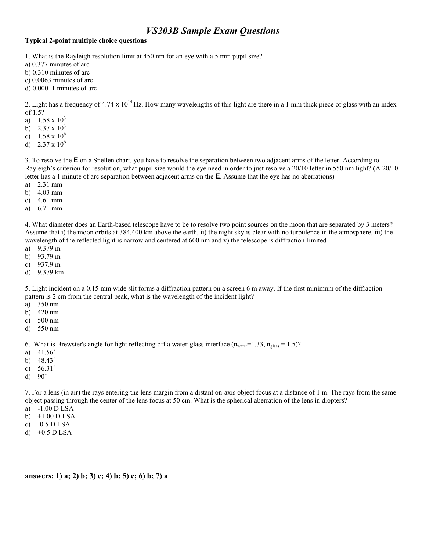#### **Typical 2-point multiple choice questions**

1. What is the Rayleigh resolution limit at 450 nm for an eye with a 5 mm pupil size?

a) 0.377 minutes of arc

b) 0.310 minutes of arc

- c) 0.0063 minutes of arc
- d) 0.00011 minutes of arc

2. Light has a frequency of 4.74 x  $10^{14}$  Hz. How many wavelengths of this light are there in a 1 mm thick piece of glass with an index of 1.5?

- a)  $1.58 \times 10^3$
- b)  $2.37 \times 10^3$
- c)  $1.58 \times 10^6$
- d)  $2.37 \times 10^6$

3. To resolve the **E** on a Snellen chart, you have to resolve the separation between two adjacent arms of the letter. According to Rayleigh's criterion for resolution, what pupil size would the eye need in order to just resolve a 20/10 letter in 550 nm light? (A 20/10 letter has a 1 minute of arc separation between adjacent arms on the **E**. Assume that the eye has no aberrations)

- a) 2.31 mm
- b) 4.03 mm
- c) 4.61 mm
- a) 6.71 mm

4. What diameter does an Earth-based telescope have to be to resolve two point sources on the moon that are separated by 3 meters? Assume that i) the moon orbits at 384,400 km above the earth, ii) the night sky is clear with no turbulence in the atmosphere, iii) the wavelength of the reflected light is narrow and centered at 600 nm and v) the telescope is diffraction-limited

- a) 9.379 m
- b) 93.79 m
- c) 937.9 m
- d) 9.379 km

5. Light incident on a 0.15 mm wide slit forms a diffraction pattern on a screen 6 m away. If the first minimum of the diffraction pattern is 2 cm from the central peak, what is the wavelength of the incident light?

- a) 350 nm
- b) 420 nm
- c) 500 nm
- d) 550 nm

6. What is Brewster's angle for light reflecting off a water-glass interface  $(n_{water} = 1.33, n_{glass} = 1.5)$ ?

- a) 41.56˚
- b) 48.43˚
- c) 56.31˚
- d) 90˚

7. For a lens (in air) the rays entering the lens margin from a distant on-axis object focus at a distance of 1 m. The rays from the same object passing through the center of the lens focus at 50 cm. What is the spherical aberration of the lens in diopters?

- a) -1.00 D LSA
- b) +1.00 D LSA
- c) -0.5 D LSA
- d) +0.5 D LSA

**answers: 1) a; 2) b; 3) c; 4) b; 5) c; 6) b; 7) a**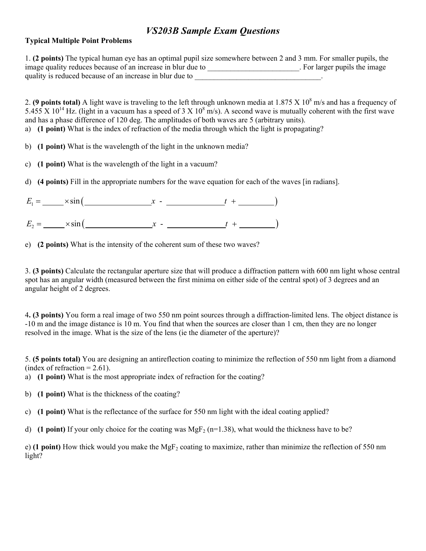## **Typical Multiple Point Problems**

|                                                             | 1. (2 points) The typical human eye has an optimal pupil size somewhere between 2 and 3 mm. For smaller pupils, the |
|-------------------------------------------------------------|---------------------------------------------------------------------------------------------------------------------|
| image quality reduces because of an increase in blur due to | . For larger pupils the image                                                                                       |
| quality is reduced because of an increase in blur due to    |                                                                                                                     |

2. (**9 points total**) A light wave is traveling to the left through unknown media at  $1.875 \times 10^8$  m/s and has a frequency of 5.455 X  $10^{14}$  Hz. (light in a vacuum has a speed of 3 X  $10^8$  m/s). A second wave is mutually coherent with the first wave and has a phase difference of 120 deg. The amplitudes of both waves are 5 (arbitrary units).

- a) **(1 point)** What is the index of refraction of the media through which the light is propagating?
- b) **(1 point)** What is the wavelength of the light in the unknown media?
- c) **(1 point)** What is the wavelength of the light in a vacuum?
- d) **(4 points)** Fill in the appropriate numbers for the wave equation for each of the waves [in radians].

| $E_1 =$ $\times \sin$ (           |  |  |
|-----------------------------------|--|--|
| $E_2 =$ $\frac{\times \sin(x)}{}$ |  |  |

e) **(2 points)** What is the intensity of the coherent sum of these two waves?

3. **(3 points)** Calculate the rectangular aperture size that will produce a diffraction pattern with 600 nm light whose central spot has an angular width (measured between the first minima on either side of the central spot) of 3 degrees and an angular height of 2 degrees.

4**. (3 points)** You form a real image of two 550 nm point sources through a diffraction-limited lens. The object distance is -10 m and the image distance is 10 m. You find that when the sources are closer than 1 cm, then they are no longer resolved in the image. What is the size of the lens (ie the diameter of the aperture)?

5. **(5 points total)** You are designing an antireflection coating to minimize the reflection of 550 nm light from a diamond (index of refraction  $= 2.61$ ).

- a) **(1 point)** What is the most appropriate index of refraction for the coating?
- b) **(1 point)** What is the thickness of the coating?
- c) **(1 point)** What is the reflectance of the surface for 550 nm light with the ideal coating applied?
- d) **(1 point)** If your only choice for the coating was MgF<sub>2</sub> (n=1.38), what would the thickness have to be?

e) (1 point) How thick would you make the MgF<sub>2</sub> coating to maximize, rather than minimize the reflection of 550 nm light?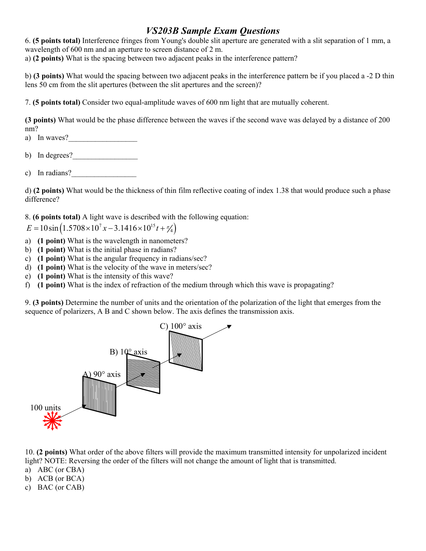6. **(5 points total)** Interference fringes from Young's double slit aperture are generated with a slit separation of 1 mm, a wavelength of 600 nm and an aperture to screen distance of 2 m. a) **(2 points)** What is the spacing between two adjacent peaks in the interference pattern?

b) **(3 points)** What would the spacing between two adjacent peaks in the interference pattern be if you placed a -2 D thin lens 50 cm from the slit apertures (between the slit apertures and the screen)?

7. **(5 points total)** Consider two equal-amplitude waves of 600 nm light that are mutually coherent.

**(3 points)** What would be the phase difference between the waves if the second wave was delayed by a distance of 200 nm?

a) In waves?

- b) In degrees?  $\qquad \qquad \qquad$
- c) In radians?

d) **(2 points)** What would be the thickness of thin film reflective coating of index 1.38 that would produce such a phase difference?

8. **(6 points total)** A light wave is described with the following equation:

 $E = 10 \sin \left( 1.5708 \times 10^{7} x - 3.1416 \times 10^{15} t + \frac{\pi}{4} \right)$ 

- a) **(1 point)** What is the wavelength in nanometers?
- b) **(1 point)** What is the initial phase in radians?
- c) **(1 point)** What is the angular frequency in radians/sec?
- d) **(1 point)** What is the velocity of the wave in meters/sec?
- e) **(1 point)** What is the intensity of this wave?
- f) **(1 point)** What is the index of refraction of the medium through which this wave is propagating?

9. **(3 points)** Determine the number of units and the orientation of the polarization of the light that emerges from the sequence of polarizers, A B and C shown below. The axis defines the transmission axis.



10. **(2 points)** What order of the above filters will provide the maximum transmitted intensity for unpolarized incident light? NOTE: Reversing the order of the filters will not change the amount of light that is transmitted.

- a) ABC (or CBA)
- b) ACB (or BCA)
- c) BAC (or CAB)